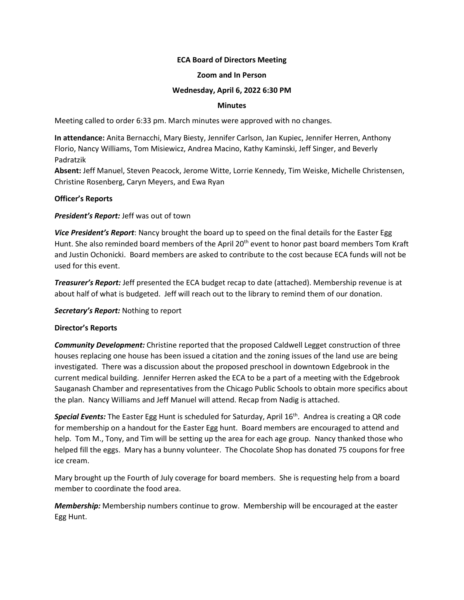# **ECA Board of Directors Meeting**

#### **Zoom and In Person**

## **Wednesday, April 6, 2022 6:30 PM**

## **Minutes**

Meeting called to order 6:33 pm. March minutes were approved with no changes.

**In attendance:** Anita Bernacchi, Mary Biesty, Jennifer Carlson, Jan Kupiec, Jennifer Herren, Anthony Florio, Nancy Williams, Tom Misiewicz, Andrea Macino, Kathy Kaminski, Jeff Singer, and Beverly Padratzik

**Absent:** Jeff Manuel, Steven Peacock, Jerome Witte, Lorrie Kennedy, Tim Weiske, Michelle Christensen, Christine Rosenberg, Caryn Meyers, and Ewa Ryan

## **Officer's Reports**

*President's Report:* Jeff was out of town

*Vice President's Report*: Nancy brought the board up to speed on the final details for the Easter Egg Hunt. She also reminded board members of the April 20<sup>th</sup> event to honor past board members Tom Kraft and Justin Ochonicki. Board members are asked to contribute to the cost because ECA funds will not be used for this event.

*Treasurer's Report:* Jeff presented the ECA budget recap to date (attached). Membership revenue is at about half of what is budgeted. Jeff will reach out to the library to remind them of our donation.

*Secretary's Report:* Nothing to report

#### **Director's Reports**

*Community Development:* Christine reported that the proposed Caldwell Legget construction of three houses replacing one house has been issued a citation and the zoning issues of the land use are being investigated. There was a discussion about the proposed preschool in downtown Edgebrook in the current medical building. Jennifer Herren asked the ECA to be a part of a meeting with the Edgebrook Sauganash Chamber and representatives from the Chicago Public Schools to obtain more specifics about the plan. Nancy Williams and Jeff Manuel will attend. Recap from Nadig is attached.

**Special Events:** The Easter Egg Hunt is scheduled for Saturday, April 16<sup>th</sup>. Andrea is creating a QR code for membership on a handout for the Easter Egg hunt. Board members are encouraged to attend and help. Tom M., Tony, and Tim will be setting up the area for each age group. Nancy thanked those who helped fill the eggs. Mary has a bunny volunteer. The Chocolate Shop has donated 75 coupons for free ice cream.

Mary brought up the Fourth of July coverage for board members. She is requesting help from a board member to coordinate the food area.

*Membership:* Membership numbers continue to grow. Membership will be encouraged at the easter Egg Hunt.